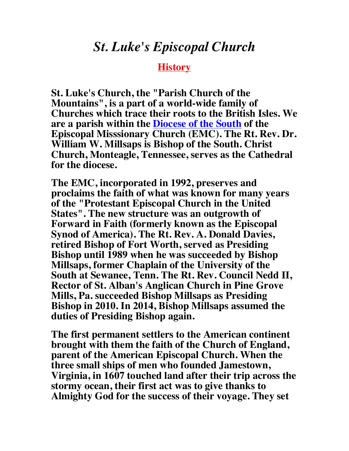## *St. Luke's Episcopal Church*

## **History**

**St. Luke's Church, the "Parish Church of the Mountains", is a part of a world-wide family of Churches which trace their roots to the British Isles. We are a parish within the Diocese of the South of the Episcopal Misssionary Church (EMC). The Rt. Rev. Dr. William W. Millsaps is Bishop of the South. Christ Church, Monteagle, Tennessee, serves as the Cathedral for the diocese.**

**The EMC, incorporated in 1992, preserves and proclaims the faith of what was known for many years of the "Protestant Episcopal Church in the United States". The new structure was an outgrowth of Forward in Faith (formerly known as the Episcopal Synod of America). The Rt. Rev. A. Donald Davies, retired Bishop of Fort Worth, served as Presiding Bishop until 1989 when he was succeeded by Bishop Millsaps, former Chaplain of the University of the South at Sewanee, Tenn. The Rt. Rev. Council Nedd II, Rector of St. Alban's Anglican Church in Pine Grove Mills, Pa. succeeded Bishop Millsaps as Presiding Bishop in 2010. In 2014, Bishop Millsaps assumed the duties of Presiding Bishop again.**

**The first permanent settlers to the American continent brought with them the faith of the Church of England, parent of the American Episcopal Church. When the three small ships of men who founded Jamestown, Virginia, in 1607 touched land after their trip across the stormy ocean, their first act was to give thanks to Almighty God for the success of their voyage. They set**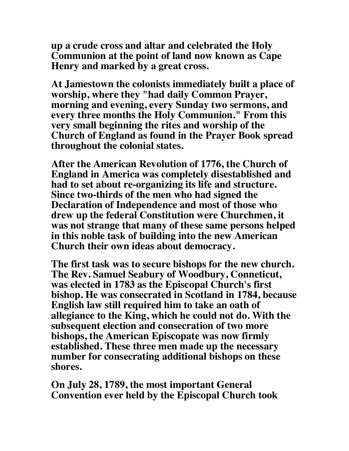**up a crude cross and altar and celebrated the Holy Communion at the point of land now known as Cape Henry and marked by a great cross.**

**At Jamestown the colonists immediately built a place of worship, where they "had daily Common Prayer, morning and evening, every Sunday two sermons, and every three months the Holy Communion." From this very small beginning the rites and worship of the Church of England as found in the Prayer Book spread throughout the colonial states.**

**After the American Revolution of 1776, the Church of England in America was completely disestablished and had to set about re-organizing its life and structure. Since two-thirds of the men who had signed the Declaration of Independence and most of those who drew up the federal Constitution were Churchmen, it was not strange that many of these same persons helped in this noble task of building into the new American Church their own ideas about democracy.**

**The first task was to secure bishops for the new church. The Rev. Samuel Seabury of Woodbury, Conneticut, was elected in 1783 as the Episcopal Church's first bishop. He was consecrated in Scotland in 1784, because English law still required him to take an oath of allegiance to the King, which he could not do. With the subsequent election and consecration of two more bishops, the American Episcopate was now firmly established. These three men made up the necessary number for consecrating additional bishops on these shores.**

**On July 28, 1789, the most important General Convention ever held by the Episcopal Church took**